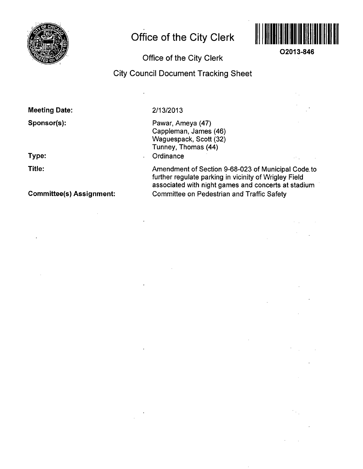

# **Office of the City Clerk**



**O2013-846** 

### **Office of the City Clerk**

## **City Council Document Tracking Sheet**

#### **Meeting Date:**

**Sponsor(s):** 

**Type:** 

**Title:** 

**Committee(s) Assignment:** 

#### 2/13/2013

Pawar, Ameya (47) Cappleman, James (46) Waguespack, Scott (32) Tunney, Thomas (44) **Ordinance** 

Amendment of Section 9-68-023 of Municipal Code, to further regulate parking in vicinity of Wrigley Field associated with night games and concerts at stadium Committee on Pedestrian and Traffic Safety